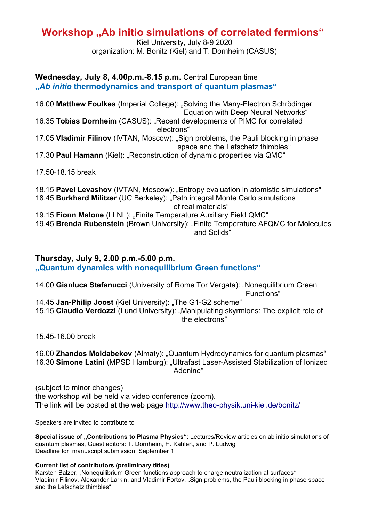## **Workshop "Ab initio simulations of correlated fermions"**

Kiel University, July 8-9 2020 organization: M. Bonitz (Kiel) and T. Dornheim (CASUS)

## **Wednesday, July 8, 4.00p.m.-8.15 p.m.** Central European time **"***Ab initio* **thermodynamics and transport of quantum plasmas"**

16.00 **Matthew Foulkes** (Imperial College): "Solving the Many-Electron Schrödinger Equation with Deep Neural Networks" 16.35 **Tobias Dornheim** (CASUS): "Recent developments of PIMC for correlated electrons" 17.05 Vladimir Filinov (IVTAN, Moscow): "Sign problems, the Pauli blocking in phase space and the Lefschetz thimbles" 17.30 **Paul Hamann** (Kiel): "Reconstruction of dynamic properties via QMC"

17.50-18.15 break

18.15 **Pavel Levashov** (IVTAN, Moscow): "Entropy evaluation in atomistic simulations" 18.45 **Burkhard Militzer** (UC Berkeley): "Path integral Monte Carlo simulations of real materials" 19.15 **Fionn Malone** (LLNL): "Finite Temperature Auxiliary Field QMC" 19.45 **Brenda Rubenstein** (Brown University): "Finite Temperature AFQMC for Molecules and Solids"

## **Thursday, July 9, 2.00 p.m.-5.00 p.m. "Quantum dynamics with nonequilibrium Green functions"**

14.00 **Gianluca Stefanucci** (University of Rome Tor Vergata): "Nonequilibrium Green Functions"

14.45 Jan-Philip Joost (Kiel University): "The G1-G2 scheme"

15.15 **Claudio Verdozzi** (Lund University): "Manipulating skyrmions: The explicit role of the electrons"

15.45-16.00 break

16.00 **Zhandos Moldabekov** (Almaty): "Quantum Hydrodynamics for quantum plasmas" 16.30 **Simone Latini** (MPSD Hamburg): "Ultrafast Laser-Assisted Stabilization of Ionized Adenine"

(subject to minor changes) the workshop will be held via video conference (zoom). The link will be posted at the web page<http://www.theo-physik.uni-kiel.de/bonitz/>

Speakers are invited to contribute to

**Special issue of "Contributions to Plasma Physics"**: Lectures/Review articles on ab initio simulations of quantum plasmas, Guest editors: T. Dornheim, H. Kählert, and P. Ludwig Deadline for manuscript submission: September 1

**Current list of contributors (preliminary titles)**

Karsten Balzer, "Nonequilibrium Green functions approach to charge neutralization at surfaces" Vladimir Filinov, Alexander Larkin, and Vladimir Fortov, "Sign problems, the Pauli blocking in phase space and the Lefschetz thimbles"